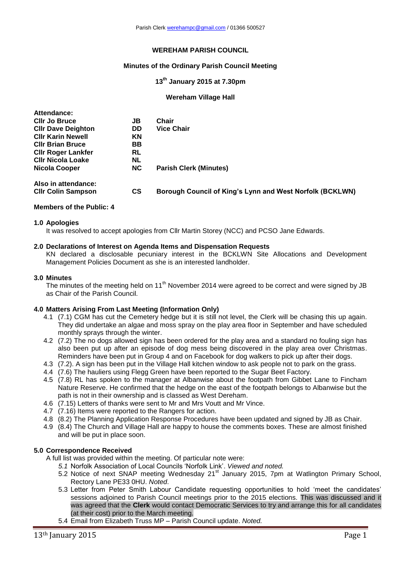# **WEREHAM PARISH COUNCIL**

# **Minutes of the Ordinary Parish Council Meeting**

### **13 th January 2015 at 7.30pm**

#### **Wereham Village Hall**

| Attendance:               |           |                                                          |
|---------------------------|-----------|----------------------------------------------------------|
| <b>CIIr Jo Bruce</b>      | JB        | Chair                                                    |
| <b>CIIr Dave Deighton</b> | <b>DD</b> | <b>Vice Chair</b>                                        |
| <b>CIIr Karin Newell</b>  | <b>KN</b> |                                                          |
| <b>CIIr Brian Bruce</b>   | BB.       |                                                          |
| <b>Cllr Roger Lankfer</b> | RL        |                                                          |
| <b>CIIr Nicola Loake</b>  | NL        |                                                          |
| <b>Nicola Cooper</b>      | <b>NC</b> | <b>Parish Clerk (Minutes)</b>                            |
| Also in attendance:       |           |                                                          |
| <b>CIIr Colin Sampson</b> | <b>CS</b> | Borough Council of King's Lynn and West Norfolk (BCKLWN) |

#### **Members of the Public: 4**

#### **1.0 Apologies**

It was resolved to accept apologies from Cllr Martin Storey (NCC) and PCSO Jane Edwards.

#### **2.0 Declarations of Interest on Agenda Items and Dispensation Requests**

KN declared a disclosable pecuniary interest in the BCKLWN Site Allocations and Development Management Policies Document as she is an interested landholder.

#### **3.0 Minutes**

The minutes of the meeting held on 11<sup>th</sup> November 2014 were agreed to be correct and were signed by JB as Chair of the Parish Council.

### **4.0 Matters Arising From Last Meeting (Information Only)**

- 4.1 (7.1) CGM has cut the Cemetery hedge but it is still not level, the Clerk will be chasing this up again. They did undertake an algae and moss spray on the play area floor in September and have scheduled monthly sprays through the winter.
- 4.2 (7.2) The no dogs allowed sign has been ordered for the play area and a standard no fouling sign has also been put up after an episode of dog mess being discovered in the play area over Christmas. Reminders have been put in Group 4 and on Facebook for dog walkers to pick up after their dogs.
- 4.3 (7.2). A sign has been put in the Village Hall kitchen window to ask people not to park on the grass.
- 4.4 (7.6) The hauliers using Flegg Green have been reported to the Sugar Beet Factory.
- 4.5 (7.8) RL has spoken to the manager at Albanwise about the footpath from Gibbet Lane to Fincham Nature Reserve. He confirmed that the hedge on the east of the footpath belongs to Albanwise but the path is not in their ownership and is classed as West Dereham.
- 4.6 (7.15) Letters of thanks were sent to Mr and Mrs Voutt and Mr Vince.
- 4.7 (7.16) Items were reported to the Rangers for action.
- 4.8 (8.2) The Planning Application Response Procedures have been updated and signed by JB as Chair.
- 4.9 (8.4) The Church and Village Hall are happy to house the comments boxes. These are almost finished and will be put in place soon.

#### **5.0 Correspondence Received**

A full list was provided within the meeting. Of particular note were:

- *5.1* Norfolk Association of Local Councils 'Norfolk Link'. *Viewed and noted.*
- 5.2 Notice of next SNAP meeting Wednesday 21<sup>st</sup> January 2015, 7pm at Watlington Primary School, Rectory Lane PE33 0HU. *Noted*.
- 5.3 Letter from Peter Smith Labour Candidate requesting opportunities to hold 'meet the candidates' sessions adjoined to Parish Council meetings prior to the 2015 elections. This was discussed and it was agreed that the **Clerk** would contact Democratic Services to try and arrange this for all candidates (at their cost) prior to the March meeting.
- 5.4 Email from Elizabeth Truss MP Parish Council update. *Noted.*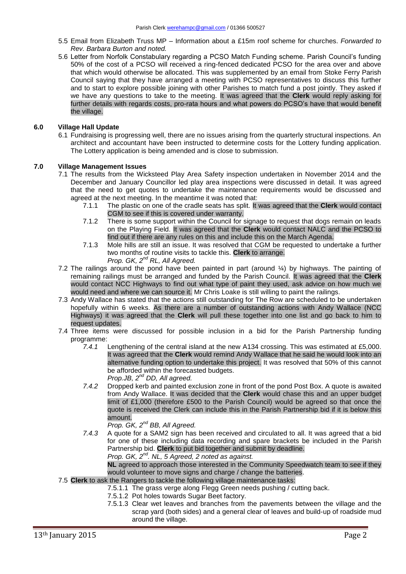- 5.5 Email from Elizabeth Truss MP Information about a £15m roof scheme for churches. *Forwarded to Rev. Barbara Burton and noted.*
- 5.6 Letter from Norfolk Constabulary regarding a PCSO Match Funding scheme. Parish Council's funding 50% of the cost of a PCSO will received a ring-fenced dedicated PCSO for the area over and above that which would otherwise be allocated. This was supplemented by an email from Stoke Ferry Parish Council saying that they have arranged a meeting with PCSO representatives to discuss this further and to start to explore possible joining with other Parishes to match fund a post jointly. They asked if we have any questions to take to the meeting. It was agreed that the **Clerk** would reply asking for further details with regards costs, pro-rata hours and what powers do PCSO's have that would benefit the village.

# **6.0 Village Hall Update**

6.1 Fundraising is progressing well, there are no issues arising from the quarterly structural inspections. An architect and accountant have been instructed to determine costs for the Lottery funding application. The Lottery application is being amended and is close to submission.

# **7.0 Village Management Issues**

- 7.1 The results from the Wicksteed Play Area Safety inspection undertaken in November 2014 and the December and January Councillor led play area inspections were discussed in detail. It was agreed that the need to get quotes to undertake the maintenance requirements would be discussed and agreed at the next meeting. In the meantime it was noted that:
	- 7.1.1 The plastic on one of the cradle seats has split. It was agreed that the **Clerk** would contact CGM to see if this is covered under warranty.
	- 7.1.2 There is some support within the Council for signage to request that dogs remain on leads on the Playing Field. It was agreed that the **Clerk** would contact NALC and the PCSO to find out if there are any rules on this and include this on the March Agenda.
	- 7.1.3 Mole hills are still an issue. It was resolved that CGM be requested to undertake a further two months of routine visits to tackle this. **Clerk** to arrange. *Prop. GK, 2nd RL, All Agreed.*
- 7.2 The railings around the pond have been painted in part (around ¼) by highways. The painting of remaining railings must be arranged and funded by the Parish Council. It was agreed that the **Clerk** would contact NCC Highways to find out what type of paint they used, ask advice on how much we would need and where we can source it. Mr Chris Loake is still willing to paint the railings.
- 7.3 Andy Wallace has stated that the actions still outstanding for The Row are scheduled to be undertaken hopefully within 6 weeks. As there are a number of outstanding actions with Andy Wallace (NCC Highways) it was agreed that the **Clerk** will pull these together into one list and go back to him to request updates.
- 7.4 Three items were discussed for possible inclusion in a bid for the Parish Partnership funding programme:
	- *7.4.1* Lengthening of the central island at the new A134 crossing. This was estimated at £5,000. It was agreed that the **Clerk** would remind Andy Wallace that he said he would look into an alternative funding option to undertake this project. It was resolved that 50% of this cannot be afforded within the forecasted budgets. *Prop.JB, 2nd DD, All agreed.*
	- *7.4.2* Dropped kerb and painted exclusion zone in front of the pond Post Box. A quote is awaited from Andy Wallace. It was decided that the **Clerk** would chase this and an upper budget limit of £1,000 (therefore £500 to the Parish Council) would be agreed so that once the quote is received the Clerk can include this in the Parish Partnership bid if it is below this amount.

*Prop. GK, 2nd BB, All Agreed.*

*7.4.3* A quote for a SAM2 sign has been received and circulated to all. It was agreed that a bid for one of these including data recording and spare brackets be included in the Parish Partnership bid. **Clerk** to put bid together and submit by deadline.

*Prop. GK, 2nd. NL, 5 Agreed, 2 noted as against.* 

**NL** agreed to approach those interested in the Community Speedwatch team to see if they would volunteer to move signs and charge / change the batteries.

- 7.5 **Clerk** to ask the Rangers to tackle the following village maintenance tasks:
	- 7.5.1.1 The grass verge along Flegg Green needs pushing / cutting back.
	- 7.5.1.2 Pot holes towards Sugar Beet factory.
	- 7.5.1.3 Clear wet leaves and branches from the pavements between the village and the scrap yard (both sides) and a general clear of leaves and build-up of roadside mud around the village.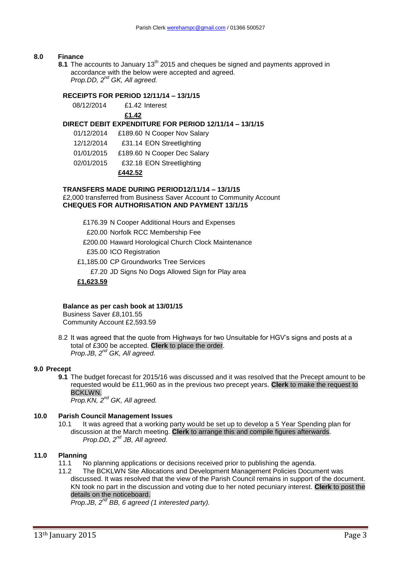### **8.0 Finance**

8.1 The accounts to January 13<sup>th</sup> 2015 and cheques be signed and payments approved in accordance with the below were accepted and agreed. *Prop.DD, 2nd GK, All agreed.*

# **RECEIPTS FOR PERIOD 12/11/14 – 13/1/15**

08/12/2014 £1.42 Interest **£1.42**

# **DIRECT DEBIT EXPENDITURE FOR PERIOD 12/11/14 – 13/1/15**

- 01/12/2014 £189.60 N Cooper Nov Salary
- 12/12/2014 £31.14 EON Streetlighting
- 01/01/2015 £189.60 N Cooper Dec Salary
- 02/01/2015 £32.18 EON Streetlighting

### **£442.52**

### **TRANSFERS MADE DURING PERIOD12/11/14 – 13/1/15**

£2,000 transferred from Business Saver Account to Community Account **CHEQUES FOR AUTHORISATION AND PAYMENT 13/1/15**

£176.39 N Cooper Additional Hours and Expenses

- £20.00 Norfolk RCC Membership Fee
- £200.00 Haward Horological Church Clock Maintenance
- £35.00 ICO Registration
- £1,185.00 CP Groundworks Tree Services
	- £7.20 JD Signs No Dogs Allowed Sign for Play area

### **£1,623.59**

#### **Balance as per cash book at 13/01/15**

Business Saver £8,101.55 Community Account £2,593.59

8.2 It was agreed that the quote from Highways for two Unsuitable for HGV's signs and posts at a total of £300 be accepted. **Clerk** to place the order. *Prop.JB, 2 nd GK, All agreed.*

#### **9.0 Precept**

**9.1** The budget forecast for 2015/16 was discussed and it was resolved that the Precept amount to be requested would be £11,960 as in the previous two precept years. **Clerk** to make the request to BCKLWN.

*Prop.KN, 2nd GK, All agreed.*

### **10.0 Parish Council Management Issues**

10.1 It was agreed that a working party would be set up to develop a 5 Year Spending plan for discussion at the March meeting. **Clerk** to arrange this and compile figures afterwards. *Prop.DD, 2nd JB, All agreed.*

#### **11.0 Planning**

11.1 No planning applications or decisions received prior to publishing the agenda.

11.2 The BCKLWN Site Allocations and Development Management Policies Document was discussed. It was resolved that the view of the Parish Council remains in support of the document. KN took no part in the discussion and voting due to her noted pecuniary interest. **Clerk** to post the details on the noticeboard.

*Prop.JB, 2nd BB, 6 agreed (1 interested party).*